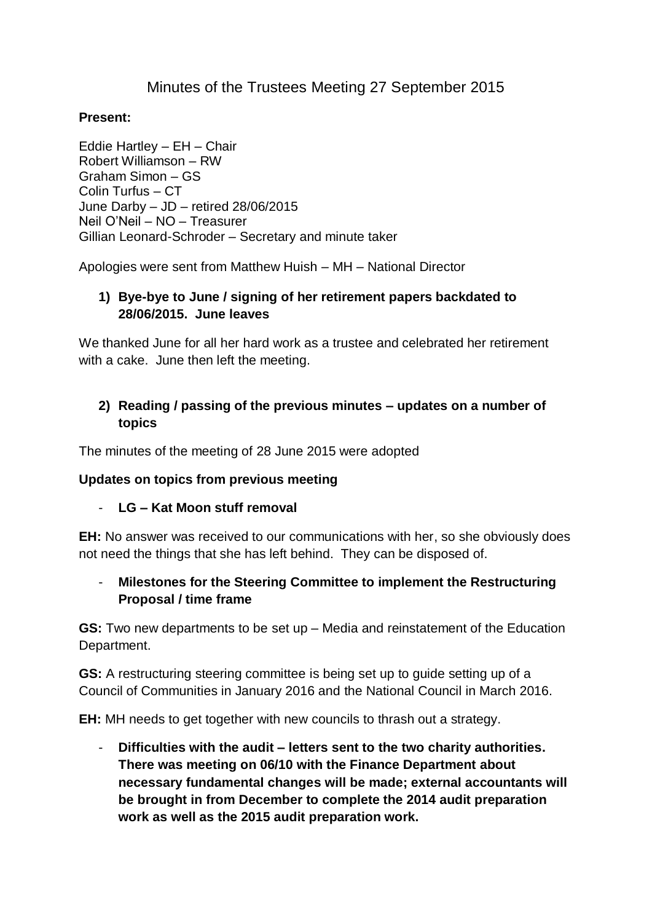# Minutes of the Trustees Meeting 27 September 2015

#### **Present:**

Eddie Hartley – EH – Chair Robert Williamson – RW Graham Simon – GS Colin Turfus – CT June Darby – JD – retired 28/06/2015 Neil O'Neil – NO – Treasurer Gillian Leonard-Schroder – Secretary and minute taker

Apologies were sent from Matthew Huish – MH – National Director

### **1) Bye-bye to June / signing of her retirement papers backdated to 28/06/2015. June leaves**

We thanked June for all her hard work as a trustee and celebrated her retirement with a cake. June then left the meeting.

## **2) Reading / passing of the previous minutes – updates on a number of topics**

The minutes of the meeting of 28 June 2015 were adopted

#### **Updates on topics from previous meeting**

#### - **LG – Kat Moon stuff removal**

**EH:** No answer was received to our communications with her, so she obviously does not need the things that she has left behind. They can be disposed of.

## - **Milestones for the Steering Committee to implement the Restructuring Proposal / time frame**

**GS:** Two new departments to be set up – Media and reinstatement of the Education Department.

**GS:** A restructuring steering committee is being set up to guide setting up of a Council of Communities in January 2016 and the National Council in March 2016.

**EH:** MH needs to get together with new councils to thrash out a strategy.

- **Difficulties with the audit – letters sent to the two charity authorities. There was meeting on 06/10 with the Finance Department about necessary fundamental changes will be made; external accountants will be brought in from December to complete the 2014 audit preparation work as well as the 2015 audit preparation work.**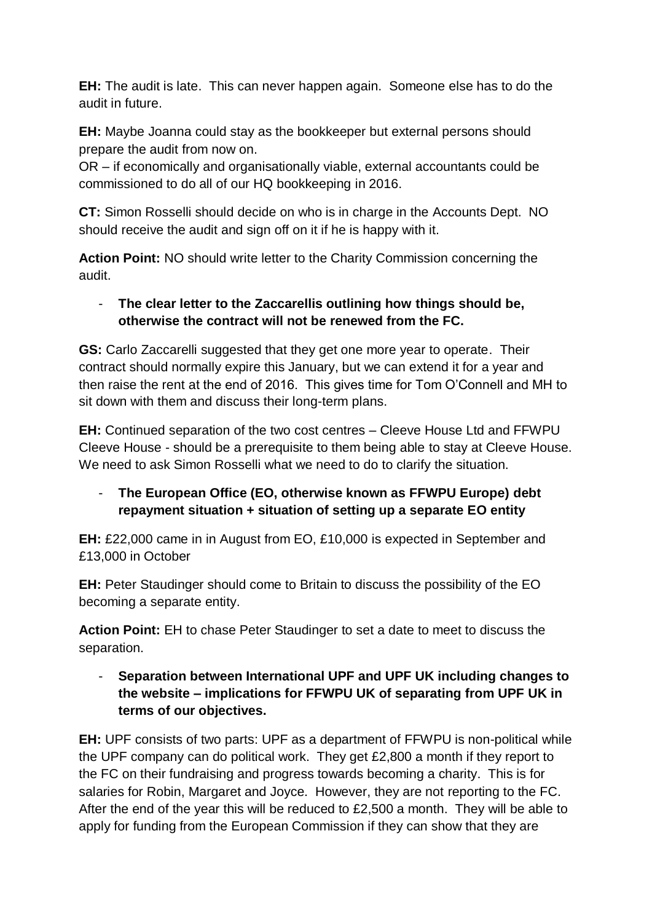**EH:** The audit is late. This can never happen again. Someone else has to do the audit in future.

**EH:** Maybe Joanna could stay as the bookkeeper but external persons should prepare the audit from now on.

OR – if economically and organisationally viable, external accountants could be commissioned to do all of our HQ bookkeeping in 2016.

**CT:** Simon Rosselli should decide on who is in charge in the Accounts Dept. NO should receive the audit and sign off on it if he is happy with it.

**Action Point:** NO should write letter to the Charity Commission concerning the audit.

## - **The clear letter to the Zaccarellis outlining how things should be, otherwise the contract will not be renewed from the FC.**

**GS:** Carlo Zaccarelli suggested that they get one more year to operate. Their contract should normally expire this January, but we can extend it for a year and then raise the rent at the end of 2016. This gives time for Tom O'Connell and MH to sit down with them and discuss their long-term plans.

**EH:** Continued separation of the two cost centres – Cleeve House Ltd and FFWPU Cleeve House - should be a prerequisite to them being able to stay at Cleeve House. We need to ask Simon Rosselli what we need to do to clarify the situation.

# - **The European Office (EO, otherwise known as FFWPU Europe) debt repayment situation + situation of setting up a separate EO entity**

**EH:** £22,000 came in in August from EO, £10,000 is expected in September and £13,000 in October

**EH:** Peter Staudinger should come to Britain to discuss the possibility of the EO becoming a separate entity.

**Action Point:** EH to chase Peter Staudinger to set a date to meet to discuss the separation.

## - **Separation between International UPF and UPF UK including changes to the website – implications for FFWPU UK of separating from UPF UK in terms of our objectives.**

**EH:** UPF consists of two parts: UPF as a department of FFWPU is non-political while the UPF company can do political work. They get £2,800 a month if they report to the FC on their fundraising and progress towards becoming a charity. This is for salaries for Robin, Margaret and Joyce. However, they are not reporting to the FC. After the end of the year this will be reduced to £2,500 a month. They will be able to apply for funding from the European Commission if they can show that they are